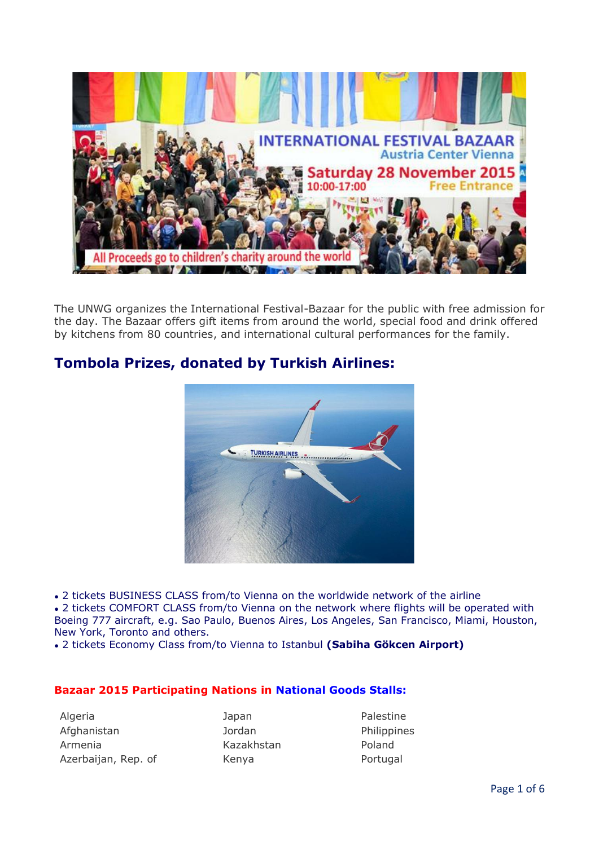

The UNWG organizes the International Festival-Bazaar for the public with free admission for the day. The Bazaar offers gift items from around the world, special food and drink offered by kitchens from 80 countries, and international cultural performances for the family.

# **Tombola Prizes, donated by Turkish Airlines:**



• 2 tickets BUSINESS CLASS from/to Vienna on the worldwide network of the airline

• 2 tickets COMFORT CLASS from/to Vienna on the network where flights will be operated with Boeing 777 aircraft, e.g. Sao Paulo, Buenos Aires, Los Angeles, San Francisco, Miami, Houston, New York, Toronto and others.

● 2 tickets Economy Class from/to Vienna to Istanbul **(Sabiha Gökcen Airport)**

### **Bazaar 2015 Participating Nations in National Goods Stalls:**

Algeria **International Algeria** Japan Palestine Afghanistan **I**ordan Jordan Philippines Armenia Kazakhstan Poland Azerbaijan, Rep. of **Kenya** Kenya Portugal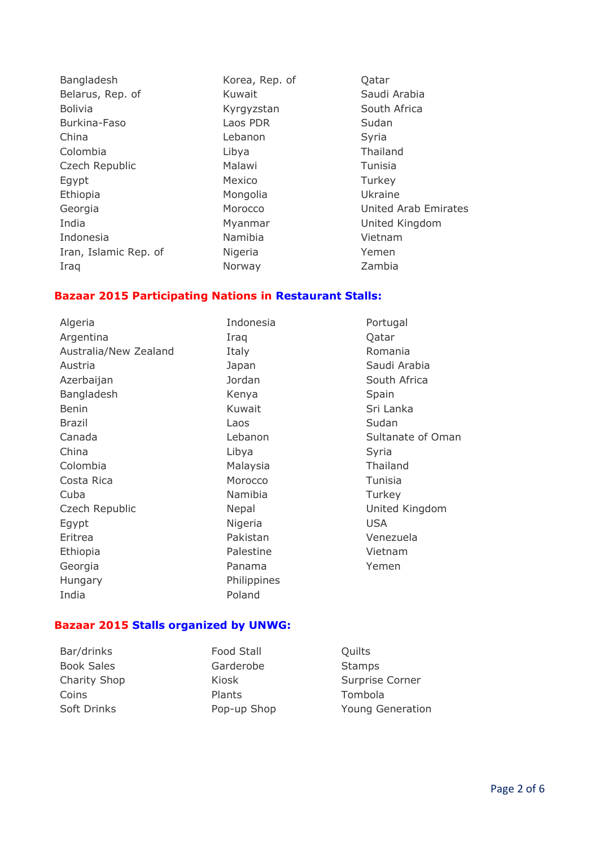Bangladesh Korea, Rep. of Qatar Belarus, Rep. of **Kuwait** Saudi Arabia Bolivia **Kyrgyzstan** Kyrgyzstan South Africa Burkina-Faso Laos PDR Sudan China **China** Lebanon **China** Syria Colombia Libya Thailand Czech Republic Malawi Malawi Tunisia Egypt Mexico Turkey Ethiopia Mongolia Mongolia Ukraine India Myanmar United Kingdom Indonesia Namibia Vietnam Iran, Islamic Rep. of **Nigeria** Nigeria Nigeria Iraq **Norway** Norway **Zambia** 

Georgia **Morocco** Character Morocco Character United Arab Emirates

#### **Bazaar 2015 Participating Nations in Restaurant Stalls:**

Algeria **Indonesia** Portugal Argentina **Iraq Qatar** Catar Australia/New Zealand Italy Italy Romania Austria **Austria Austria Austria Arabia** Japan **Saudi Arabia** Azerbaijan **Manusian South Africa** Jordan South Africa Bangladesh Kenya Kenya Spain Benin Sri Lanka Kuwait Sri Lanka Brazil **Brazil** Contract Laos **Contract Laos** Sudan Canada Lebanon Sultanate of Oman China Libya Syria Colombia Malaysia Thailand Costa Rica Morocco Tunisia Cuba Namibia Turkey Czech Republic Nepal Nepal Nepal United Kingdom Egypt **Nigeria** Nigeria USA Eritrea Pakistan Venezuela Ethiopia **Palestine** Palestine Vietnam Georgia **Contract Contract Contract Contract Contract Contract Contract Contract Contract Contract Contract Contract Contract Contract Contract Contract Contract Contract Contract Contract Contract Contract Contract Contra** Hungary Philippines India Poland

### **Bazaar 2015 Stalls organized by UNWG:**

Bar/drinks Food Stall Cuilts Book Sales **Garderobe** Stamps Coins Plants Tombola

Charity Shop **Kiosk** Kiosk Surprise Corner Soft Drinks **Pop-up Shop** Young Generation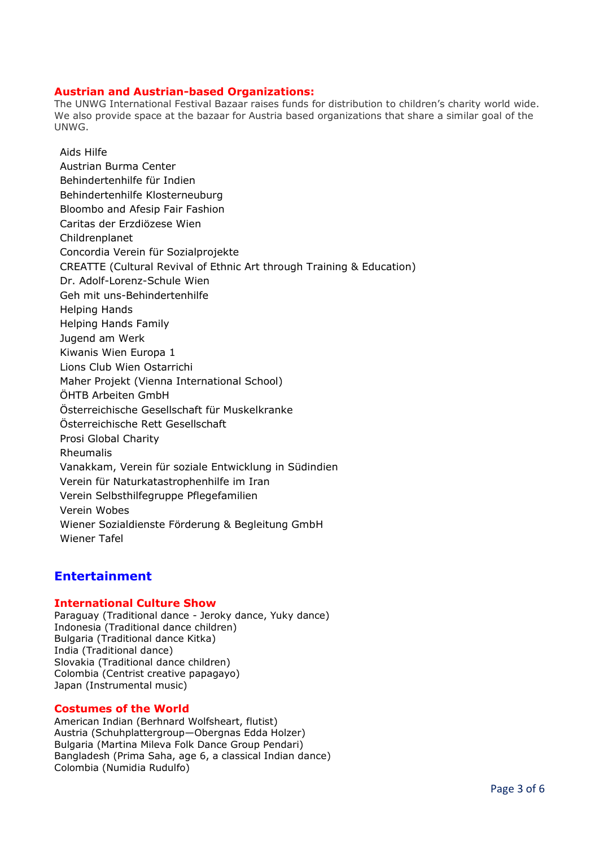#### **Austrian and Austrian-based Organizations:**

The UNWG International Festival Bazaar raises funds for distribution to children's charity world wide. We also provide space at the bazaar for Austria based organizations that share a similar goal of the UNWG.

Aids Hilfe Austrian Burma Center Behindertenhilfe für Indien Behindertenhilfe Klosterneuburg Bloombo and Afesip Fair Fashion Caritas der Erzdiözese Wien Childrenplanet Concordia Verein für Sozialprojekte CREATTE (Cultural Revival of Ethnic Art through Training & Education) Dr. Adolf-Lorenz-Schule Wien Geh mit uns-Behindertenhilfe Helping Hands Helping Hands Family Jugend am Werk Kiwanis Wien Europa 1 Lions Club Wien Ostarrichi Maher Projekt (Vienna International School) ÖHTB Arbeiten GmbH Österreichische Gesellschaft für Muskelkranke Österreichische Rett Gesellschaft Prosi Global Charity Rheumalis Vanakkam, Verein für soziale Entwicklung in Südindien Verein für Naturkatastrophenhilfe im Iran Verein Selbsthilfegruppe Pflegefamilien Verein Wobes Wiener Sozialdienste Förderung & Begleitung GmbH Wiener Tafel

## **Entertainment**

#### **International Culture Show**

Paraguay (Traditional dance - Jeroky dance, Yuky dance) Indonesia (Traditional dance children) Bulgaria (Traditional dance Kitka) India (Traditional dance) Slovakia (Traditional dance children) Colombia (Centrist creative papagayo) Japan (Instrumental music)

#### **Costumes of the World**

American Indian (Berhnard Wolfsheart, flutist) Austria (Schuhplattergroup—Obergnas Edda Holzer) Bulgaria (Martina Mileva Folk Dance Group Pendari) Bangladesh (Prima Saha, age 6, a classical Indian dance) Colombia (Numidia Rudulfo)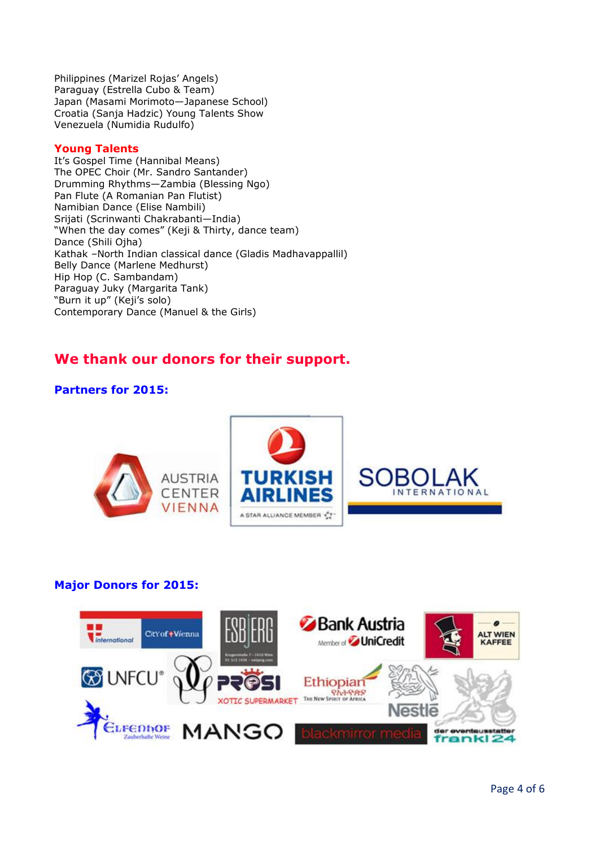Philippines (Marizel Rojas' Angels) Paraguay (Estrella Cubo & Team) Japan (Masami Morimoto—Japanese School) Croatia (Sanja Hadzic) Young Talents Show Venezuela (Numidia Rudulfo)

#### **Young Talents**

It's Gospel Time (Hannibal Means) The OPEC Choir (Mr. Sandro Santander) Drumming Rhythms—Zambia (Blessing Ngo) Pan Flute (A Romanian Pan Flutist) Namibian Dance (Elise Nambili) Srijati (Scrinwanti Chakrabanti—India) "When the day comes" (Keji & Thirty, dance team) Dance (Shili Ojha) Kathak –North Indian classical dance (Gladis Madhavappallil) Belly Dance (Marlene Medhurst) Hip Hop (C. Sambandam) Paraguay Juky (Margarita Tank) "Burn it up" (Keji's solo) Contemporary Dance (Manuel & the Girls)

# **We thank our donors for their support.**

## **Partners for 2015:**



## **Major Donors for 2015:**

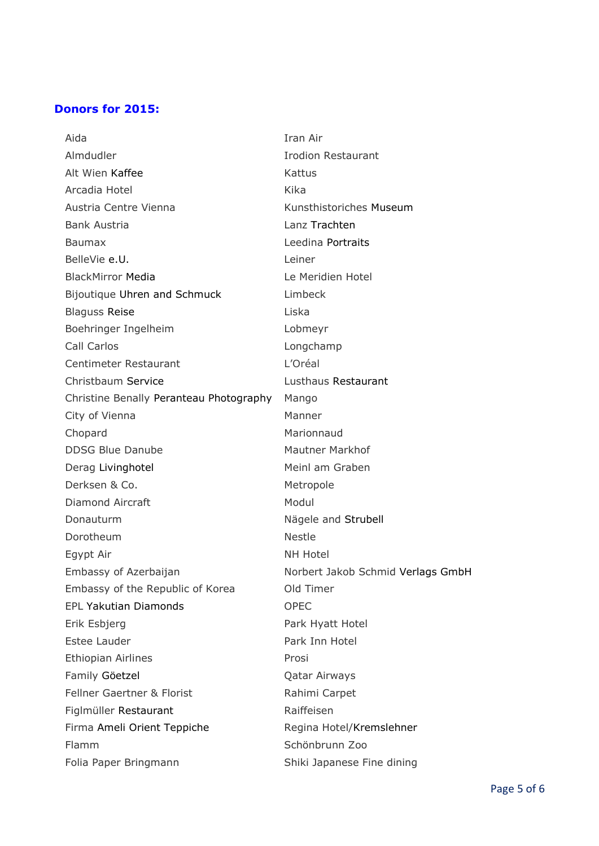## **Donors for 2015:**

| Aida                                    | Iran Air                          |
|-----------------------------------------|-----------------------------------|
| Almdudler                               | <b>Irodion Restaurant</b>         |
| Alt Wien Kaffee                         | Kattus                            |
| Arcadia Hotel                           | Kika                              |
| Austria Centre Vienna                   | Kunsthistoriches Museum           |
| <b>Bank Austria</b>                     | Lanz Trachten                     |
| Baumax                                  | Leedina Portraits                 |
| BelleVie e.U.                           | Leiner                            |
| <b>BlackMirror Media</b>                | Le Meridien Hotel                 |
| Bijoutique Uhren and Schmuck            | Limbeck                           |
| <b>Blaguss Reise</b>                    | Liska                             |
| Boehringer Ingelheim                    | Lobmeyr                           |
| Call Carlos                             | Longchamp                         |
| <b>Centimeter Restaurant</b>            | L'Oréal                           |
| Christbaum Service                      | Lusthaus Restaurant               |
| Christine Benally Peranteau Photography | Mango                             |
| City of Vienna                          | Manner                            |
| Chopard                                 | Marionnaud                        |
| <b>DDSG Blue Danube</b>                 | <b>Mautner Markhof</b>            |
| Derag Livinghotel                       | Meinl am Graben                   |
| Derksen & Co.                           | Metropole                         |
| Diamond Aircraft                        | Modul                             |
| Donauturm                               | Nägele and Strubell               |
| Dorotheum                               | <b>Nestle</b>                     |
| Egypt Air                               | <b>NH Hotel</b>                   |
| Embassy of Azerbaijan                   | Norbert Jakob Schmid Verlags GmbH |
| Embassy of the Republic of Korea        | Old Timer                         |
| <b>EPL Yakutian Diamonds</b>            | <b>OPEC</b>                       |
| Erik Esbjerg                            | Park Hyatt Hotel                  |
| <b>Estee Lauder</b>                     | Park Inn Hotel                    |
| <b>Ethiopian Airlines</b>               | Prosi                             |
| Family Göetzel                          | <b>Qatar Airways</b>              |
| <b>Fellner Gaertner &amp; Florist</b>   | Rahimi Carpet                     |
| Figlmüller Restaurant                   | Raiffeisen                        |
| Firma Ameli Orient Teppiche             | Regina Hotel/Kremslehner          |
| <b>Flamm</b>                            | Schönbrunn Zoo                    |
| Folia Paper Bringmann                   | Shiki Japanese Fine dining        |